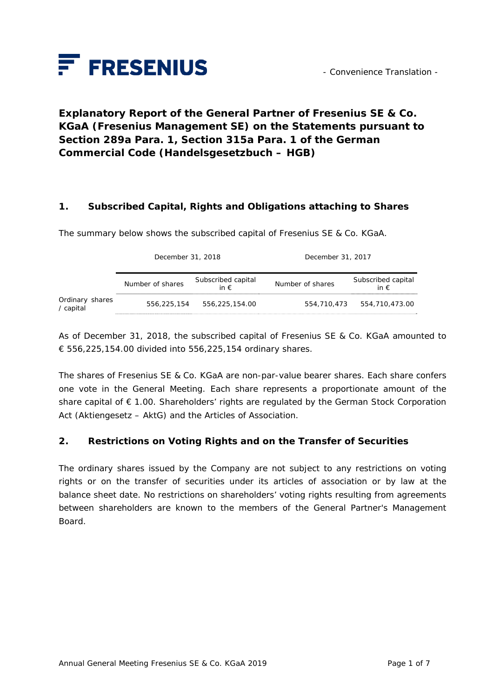

# **Explanatory Report of the General Partner of Fresenius SE & Co. KGaA (Fresenius Management SE) on the Statements pursuant to Section 289a Para. 1, Section 315a Para. 1 of the German Commercial Code (***Handelsgesetzbuch – HGB***)**

#### **1. Subscribed Capital, Rights and Obligations attaching to Shares**

The summary below shows the subscribed capital of Fresenius SE & Co. KGaA.

|                              | December 31, 2018 |                                     | December 31, 2017 |                                     |
|------------------------------|-------------------|-------------------------------------|-------------------|-------------------------------------|
|                              | Number of shares  | Subscribed capital<br>in $\epsilon$ | Number of shares  | Subscribed capital<br>in $\epsilon$ |
| Ordinary shares<br>/ capital | 556,225,154       | 556,225,154.00                      | 554,710,473       | 554,710,473.00                      |

As of December 31, 2018, the subscribed capital of Fresenius SE & Co. KGaA amounted to € 556,225,154.00 divided into 556,225,154 ordinary shares.

The shares of Fresenius SE & Co. KGaA are non-par-value bearer shares. Each share confers one vote in the General Meeting. Each share represents a proportionate amount of the share capital of € 1.00. Shareholders' rights are regulated by the German Stock Corporation Act (*Aktiengesetz – AktG*) and the Articles of Association.

#### **2. Restrictions on Voting Rights and on the Transfer of Securities**

The ordinary shares issued by the Company are not subject to any restrictions on voting rights or on the transfer of securities under its articles of association or by law at the balance sheet date. No restrictions on shareholders' voting rights resulting from agreements between shareholders are known to the members of the General Partner's Management Board.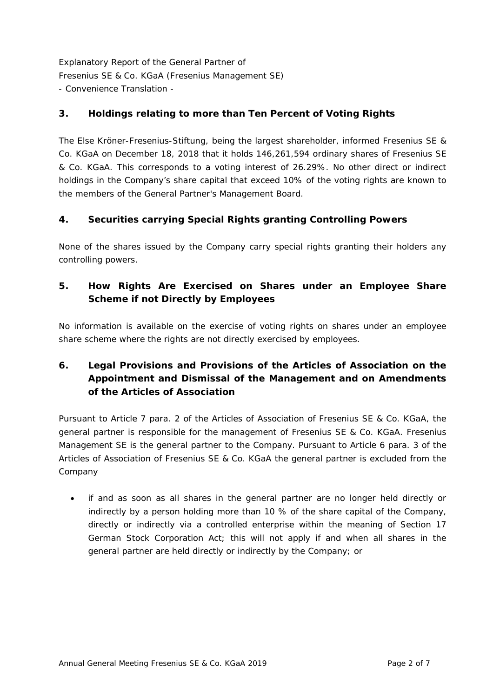## **3. Holdings relating to more than Ten Percent of Voting Rights**

The Else Kröner-Fresenius-Stiftung, being the largest shareholder, informed Fresenius SE & Co. KGaA on December 18, 2018 that it holds 146,261,594 ordinary shares of Fresenius SE & Co. KGaA. This corresponds to a voting interest of 26.29%. No other direct or indirect holdings in the Company's share capital that exceed 10% of the voting rights are known to the members of the General Partner's Management Board.

## **4. Securities carrying Special Rights granting Controlling Powers**

None of the shares issued by the Company carry special rights granting their holders any controlling powers.

## **5. How Rights Are Exercised on Shares under an Employee Share Scheme if not Directly by Employees**

No information is available on the exercise of voting rights on shares under an employee share scheme where the rights are not directly exercised by employees.

# **6. Legal Provisions and Provisions of the Articles of Association on the Appointment and Dismissal of the Management and on Amendments of the Articles of Association**

Pursuant to Article 7 para. 2 of the Articles of Association of Fresenius SE & Co. KGaA, the general partner is responsible for the management of Fresenius SE & Co. KGaA. Fresenius Management SE is the general partner to the Company. Pursuant to Article 6 para. 3 of the Articles of Association of Fresenius SE & Co. KGaA the general partner is excluded from the Company

 if and as soon as all shares in the general partner are no longer held directly or indirectly by a person holding more than 10 % of the share capital of the Company, directly or indirectly via a controlled enterprise within the meaning of Section 17 German Stock Corporation Act; this will not apply if and when all shares in the general partner are held directly or indirectly by the Company; or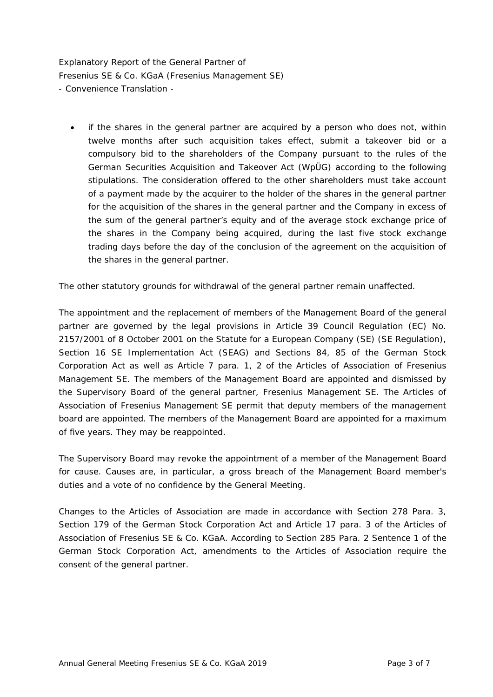if the shares in the general partner are acquired by a person who does not, within twelve months after such acquisition takes effect, submit a takeover bid or a compulsory bid to the shareholders of the Company pursuant to the rules of the German Securities Acquisition and Takeover Act (WpÜG) according to the following stipulations. The consideration offered to the other shareholders must take account of a payment made by the acquirer to the holder of the shares in the general partner for the acquisition of the shares in the general partner and the Company in excess of the sum of the general partner's equity and of the average stock exchange price of the shares in the Company being acquired, during the last five stock exchange trading days before the day of the conclusion of the agreement on the acquisition of the shares in the general partner.

The other statutory grounds for withdrawal of the general partner remain unaffected.

The appointment and the replacement of members of the Management Board of the general partner are governed by the legal provisions in Article 39 Council Regulation (EC) No. 2157/2001 of 8 October 2001 on the Statute for a European Company (SE) (SE Regulation), Section 16 SE Implementation Act (SEAG) and Sections 84, 85 of the German Stock Corporation Act as well as Article 7 para. 1, 2 of the Articles of Association of Fresenius Management SE. The members of the Management Board are appointed and dismissed by the Supervisory Board of the general partner, Fresenius Management SE. The Articles of Association of Fresenius Management SE permit that deputy members of the management board are appointed. The members of the Management Board are appointed for a maximum of five years. They may be reappointed.

The Supervisory Board may revoke the appointment of a member of the Management Board for cause. Causes are, in particular, a gross breach of the Management Board member's duties and a vote of no confidence by the General Meeting.

Changes to the Articles of Association are made in accordance with Section 278 Para. 3, Section 179 of the German Stock Corporation Act and Article 17 para. 3 of the Articles of Association of Fresenius SE & Co. KGaA. According to Section 285 Para. 2 Sentence 1 of the German Stock Corporation Act, amendments to the Articles of Association require the consent of the general partner.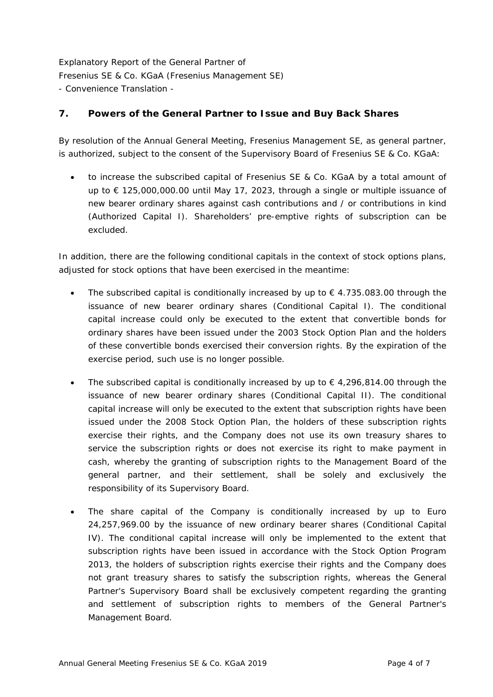### **7. Powers of the General Partner to Issue and Buy Back Shares**

By resolution of the Annual General Meeting, Fresenius Management SE, as general partner, is authorized, subject to the consent of the Supervisory Board of Fresenius SE & Co. KGaA:

 to increase the subscribed capital of Fresenius SE & Co. KGaA by a total amount of up to € 125,000,000.00 until May 17, 2023, through a single or multiple issuance of new bearer ordinary shares against cash contributions and / or contributions in kind (Authorized Capital I). Shareholders' pre-emptive rights of subscription can be excluded.

In addition, there are the following conditional capitals in the context of stock options plans, adjusted for stock options that have been exercised in the meantime:

- The subscribed capital is conditionally increased by up to  $\epsilon$  4.735.083.00 through the issuance of new bearer ordinary shares (Conditional Capital I). The conditional capital increase could only be executed to the extent that convertible bonds for ordinary shares have been issued under the 2003 Stock Option Plan and the holders of these convertible bonds exercised their conversion rights. By the expiration of the exercise period, such use is no longer possible.
- The subscribed capital is conditionally increased by up to  $\epsilon$  4,296,814.00 through the issuance of new bearer ordinary shares (Conditional Capital II). The conditional capital increase will only be executed to the extent that subscription rights have been issued under the 2008 Stock Option Plan, the holders of these subscription rights exercise their rights, and the Company does not use its own treasury shares to service the subscription rights or does not exercise its right to make payment in cash, whereby the granting of subscription rights to the Management Board of the general partner, and their settlement, shall be solely and exclusively the responsibility of its Supervisory Board.
- The share capital of the Company is conditionally increased by up to Euro 24,257,969.00 by the issuance of new ordinary bearer shares (Conditional Capital IV). The conditional capital increase will only be implemented to the extent that subscription rights have been issued in accordance with the Stock Option Program 2013, the holders of subscription rights exercise their rights and the Company does not grant treasury shares to satisfy the subscription rights, whereas the General Partner's Supervisory Board shall be exclusively competent regarding the granting and settlement of subscription rights to members of the General Partner's Management Board.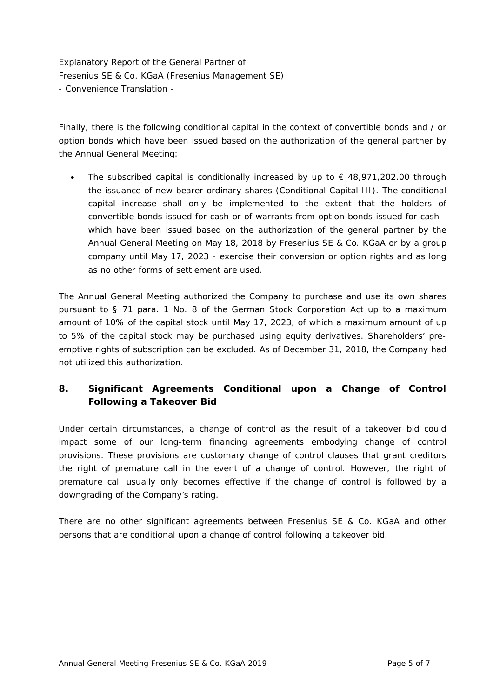Finally, there is the following conditional capital in the context of convertible bonds and / or option bonds which have been issued based on the authorization of the general partner by the Annual General Meeting:

The subscribed capital is conditionally increased by up to  $\epsilon$  48,971,202.00 through the issuance of new bearer ordinary shares (Conditional Capital III). The conditional capital increase shall only be implemented to the extent that the holders of convertible bonds issued for cash or of warrants from option bonds issued for cash which have been issued based on the authorization of the general partner by the Annual General Meeting on May 18, 2018 by Fresenius SE & Co. KGaA or by a group company until May 17, 2023 - exercise their conversion or option rights and as long as no other forms of settlement are used.

The Annual General Meeting authorized the Company to purchase and use its own shares pursuant to § 71 para. 1 No. 8 of the German Stock Corporation Act up to a maximum amount of 10% of the capital stock until May 17, 2023, of which a maximum amount of up to 5% of the capital stock may be purchased using equity derivatives. Shareholders' preemptive rights of subscription can be excluded. As of December 31, 2018, the Company had not utilized this authorization.

# **8. Significant Agreements Conditional upon a Change of Control Following a Takeover Bid**

Under certain circumstances, a change of control as the result of a takeover bid could impact some of our long-term financing agreements embodying change of control provisions. These provisions are customary change of control clauses that grant creditors the right of premature call in the event of a change of control. However, the right of premature call usually only becomes effective if the change of control is followed by a downgrading of the Company's rating.

There are no other significant agreements between Fresenius SE & Co. KGaA and other persons that are conditional upon a change of control following a takeover bid.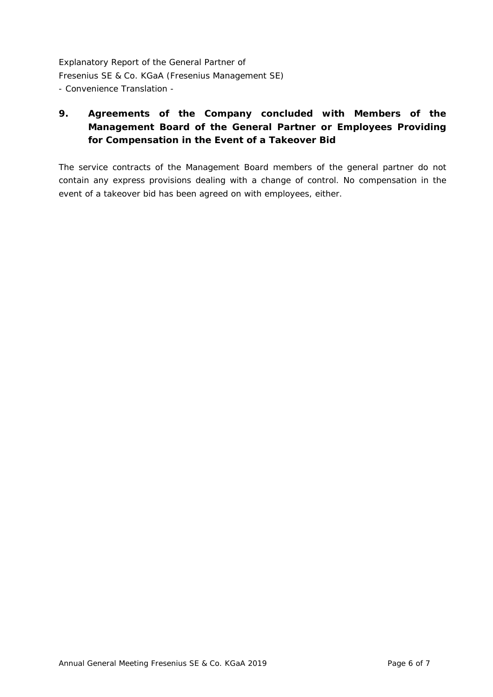# **9. Agreements of the Company concluded with Members of the Management Board of the General Partner or Employees Providing for Compensation in the Event of a Takeover Bid**

The service contracts of the Management Board members of the general partner do not contain any express provisions dealing with a change of control. No compensation in the event of a takeover bid has been agreed on with employees, either.